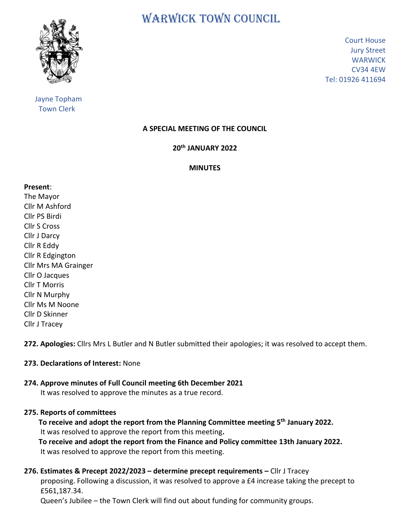

 Jayne Topham Town Clerk

WARWICK TOWN COUNCIL

Court House Jury Street **WARWICK** CV34 4EW Tel: 01926 411694

# **A SPECIAL MEETING OF THE COUNCIL**

## **20 th JANUARY 2022**

#### **MINUTES**

#### **Present**:

The Mayor Cllr M Ashford Cllr PS Birdi Cllr S Cross Cllr J Darcy Cllr R Eddy Cllr R Edgington Cllr Mrs MA Grainger Cllr O Jacques Cllr T Morris Cllr N Murphy Cllr Ms M Noone Cllr D Skinner Cllr J Tracey

**272. Apologies:** Cllrs Mrs L Butler and N Butler submitted their apologies; it was resolved to accept them.

## **273. Declarations of Interest:** None

## **274. Approve minutes of Full Council meeting 6th December 2021**

It was resolved to approve the minutes as a true record.

## **275. Reports of committees**

 **To receive and adopt the report from the Planning Committee meeting 5th January 2022.** It was resolved to approve the report from this meeting**.**

 **To receive and adopt the report from the Finance and Policy committee 13th January 2022.** It was resolved to approve the report from this meeting.

# **276. Estimates & Precept 2022/2023 – determine precept requirements –** Cllr J Tracey

 proposing. Following a discussion, it was resolved to approve a £4 increase taking the precept to £561,187.34.

Queen's Jubilee – the Town Clerk will find out about funding for community groups.